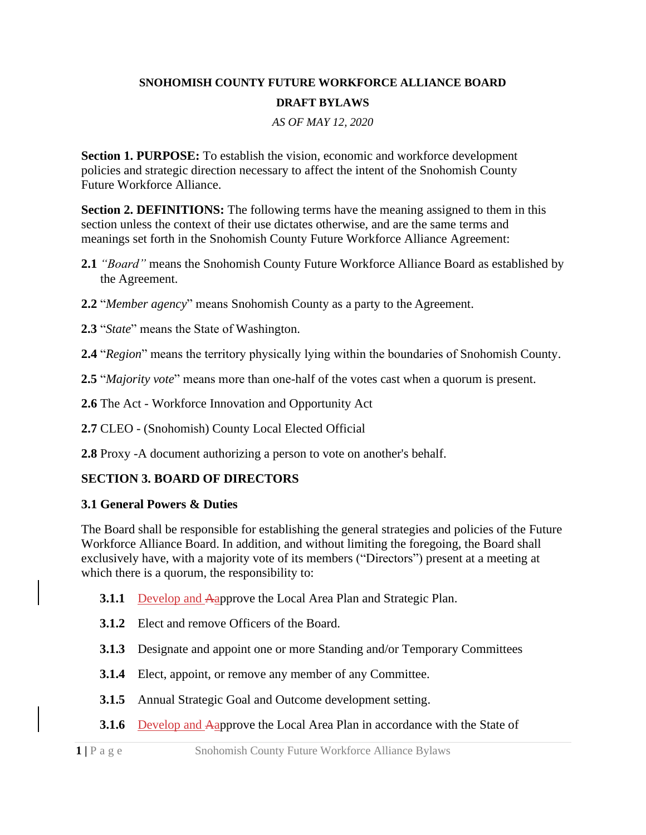#### **SNOHOMISH COUNTY FUTURE WORKFORCE ALLIANCE BOARD DRAFT BYLAWS**

*AS OF MAY 12, 2020*

**Section 1. PURPOSE:** To establish the vision, economic and workforce development policies and strategic direction necessary to affect the intent of the Snohomish County Future Workforce Alliance.

**Section 2. DEFINITIONS:** The following terms have the meaning assigned to them in this section unless the context of their use dictates otherwise, and are the same terms and meanings set forth in the Snohomish County Future Workforce Alliance Agreement:

- **2.1** *"Board"* means the Snohomish County Future Workforce Alliance Board as established by the Agreement.
- **2.2** "*Member agency*" means Snohomish County as a party to the Agreement.
- **2.3** "*State*" means the State of Washington.
- **2.4** "*Region*" means the territory physically lying within the boundaries of Snohomish County.
- **2.5** "*Majority vote*" means more than one-half of the votes cast when a quorum is present.
- **2.6** The Act Workforce Innovation and Opportunity Act
- **2.7** CLEO (Snohomish) County Local Elected Official
- **2.8** Proxy -A document authorizing a person to vote on another's behalf.

#### **SECTION 3. BOARD OF DIRECTORS**

#### **3.1 General Powers & Duties**

The Board shall be responsible for establishing the general strategies and policies of the Future Workforce Alliance Board. In addition, and without limiting the foregoing, the Board shall exclusively have, with a majority vote of its members ("Directors") present at a meeting at which there is a quorum, the responsibility to:

- **3.1.1** Develop and Aapprove the Local Area Plan and Strategic Plan.
- **3.1.2** Elect and remove Officers of the Board.
- **3.1.3** Designate and appoint one or more Standing and/or Temporary Committees
- **3.1.4** Elect, appoint, or remove any member of any Committee.
- **3.1.5** Annual Strategic Goal and Outcome development setting.
- **3.1.6** Develop and Aapprove the Local Area Plan in accordance with the State of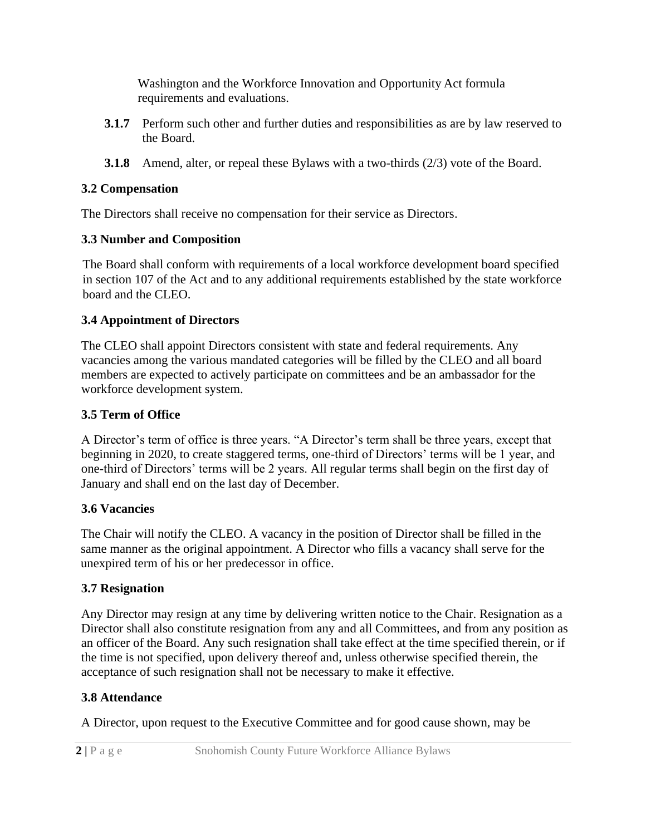Washington and the Workforce Innovation and Opportunity Act formula requirements and evaluations.

- **3.1.7** Perform such other and further duties and responsibilities as are by law reserved to the Board.
- **3.1.8** Amend, alter, or repeal these Bylaws with a two-thirds (2/3) vote of the Board.

## **3.2 Compensation**

The Directors shall receive no compensation for their service as Directors.

#### **3.3 Number and Composition**

The Board shall conform with requirements of a local workforce development board specified in section 107 of the Act and to any additional requirements established by the state workforce board and the CLEO.

## **3.4 Appointment of Directors**

The CLEO shall appoint Directors consistent with state and federal requirements. Any vacancies among the various mandated categories will be filled by the CLEO and all board members are expected to actively participate on committees and be an ambassador for the workforce development system.

#### **3.5 Term of Office**

A Director's term of office is three years. "A Director's term shall be three years, except that beginning in 2020, to create staggered terms, one-third of Directors' terms will be 1 year, and one-third of Directors' terms will be 2 years. All regular terms shall begin on the first day of January and shall end on the last day of December.

## **3.6 Vacancies**

The Chair will notify the CLEO. A vacancy in the position of Director shall be filled in the same manner as the original appointment. A Director who fills a vacancy shall serve for the unexpired term of his or her predecessor in office.

## **3.7 Resignation**

Any Director may resign at any time by delivering written notice to the Chair. Resignation as a Director shall also constitute resignation from any and all Committees, and from any position as an officer of the Board. Any such resignation shall take effect at the time specified therein, or if the time is not specified, upon delivery thereof and, unless otherwise specified therein, the acceptance of such resignation shall not be necessary to make it effective.

## **3.8 Attendance**

A Director, upon request to the Executive Committee and for good cause shown, may be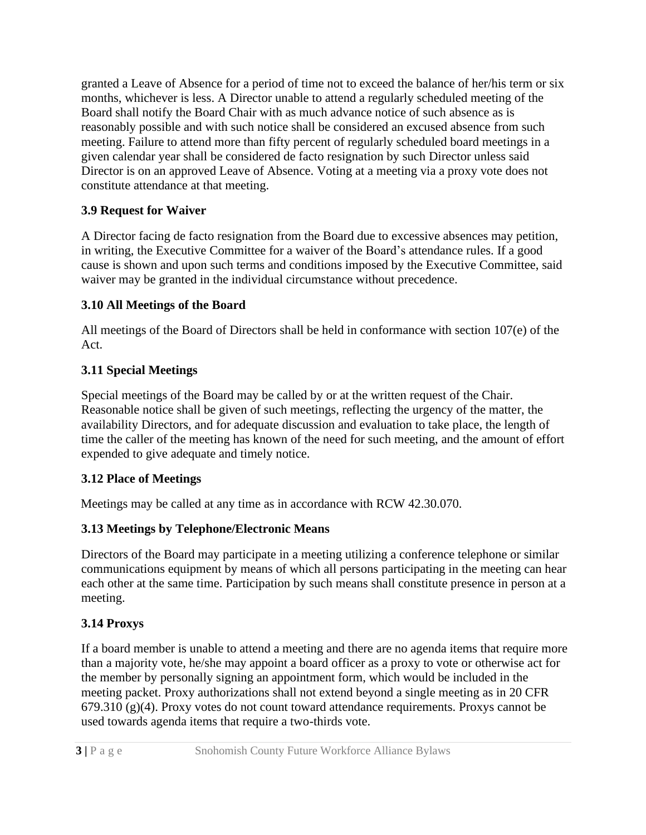granted a Leave of Absence for a period of time not to exceed the balance of her/his term or six months, whichever is less. A Director unable to attend a regularly scheduled meeting of the Board shall notify the Board Chair with as much advance notice of such absence as is reasonably possible and with such notice shall be considered an excused absence from such meeting. Failure to attend more than fifty percent of regularly scheduled board meetings in a given calendar year shall be considered de facto resignation by such Director unless said Director is on an approved Leave of Absence. Voting at a meeting via a proxy vote does not constitute attendance at that meeting.

## **3.9 Request for Waiver**

A Director facing de facto resignation from the Board due to excessive absences may petition, in writing, the Executive Committee for a waiver of the Board's attendance rules. If a good cause is shown and upon such terms and conditions imposed by the Executive Committee, said waiver may be granted in the individual circumstance without precedence.

#### **3.10 All Meetings of the Board**

All meetings of the Board of Directors shall be held in conformance with section 107(e) of the Act.

#### **3.11 Special Meetings**

Special meetings of the Board may be called by or at the written request of the Chair. Reasonable notice shall be given of such meetings, reflecting the urgency of the matter, the availability Directors, and for adequate discussion and evaluation to take place, the length of time the caller of the meeting has known of the need for such meeting, and the amount of effort expended to give adequate and timely notice.

#### **3.12 Place of Meetings**

Meetings may be called at any time as in accordance with RCW 42.30.070.

## **3.13 Meetings by Telephone/Electronic Means**

Directors of the Board may participate in a meeting utilizing a conference telephone or similar communications equipment by means of which all persons participating in the meeting can hear each other at the same time. Participation by such means shall constitute presence in person at a meeting.

## **3.14 Proxys**

If a board member is unable to attend a meeting and there are no agenda items that require more than a majority vote, he/she may appoint a board officer as a proxy to vote or otherwise act for the member by personally signing an appointment form, which would be included in the meeting packet. Proxy authorizations shall not extend beyond a single meeting as in 20 CFR  $679.310$  (g)(4). Proxy votes do not count toward attendance requirements. Proxys cannot be used towards agenda items that require a two-thirds vote.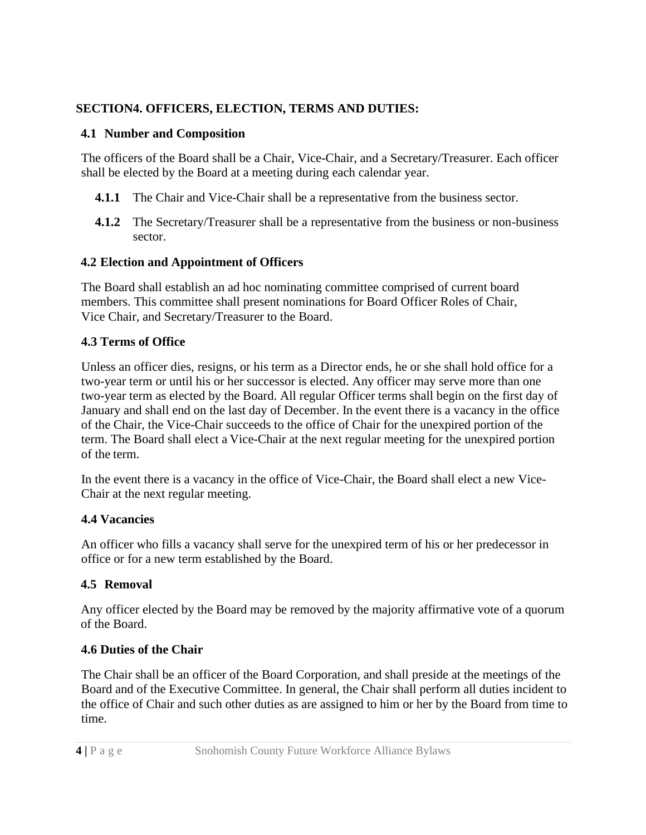#### **SECTION4. OFFICERS, ELECTION, TERMS AND DUTIES:**

#### **4.1 Number and Composition**

The officers of the Board shall be a Chair, Vice-Chair, and a Secretary/Treasurer. Each officer shall be elected by the Board at a meeting during each calendar year.

- **4.1.1** The Chair and Vice-Chair shall be a representative from the business sector.
- **4.1.2** The Secretary/Treasurer shall be a representative from the business or non-business sector.

## **4.2 Election and Appointment of Officers**

The Board shall establish an ad hoc nominating committee comprised of current board members. This committee shall present nominations for Board Officer Roles of Chair, Vice Chair, and Secretary/Treasurer to the Board.

## **4.3 Terms of Office**

Unless an officer dies, resigns, or his term as a Director ends, he or she shall hold office for a two-year term or until his or her successor is elected. Any officer may serve more than one two-year term as elected by the Board. All regular Officer terms shall begin on the first day of January and shall end on the last day of December. In the event there is a vacancy in the office of the Chair, the Vice-Chair succeeds to the office of Chair for the unexpired portion of the term. The Board shall elect a Vice-Chair at the next regular meeting for the unexpired portion of the term.

In the event there is a vacancy in the office of Vice-Chair, the Board shall elect a new Vice-Chair at the next regular meeting.

## **4.4 Vacancies**

An officer who fills a vacancy shall serve for the unexpired term of his or her predecessor in office or for a new term established by the Board.

# **4.5 Removal**

Any officer elected by the Board may be removed by the majority affirmative vote of a quorum of the Board.

## **4.6 Duties of the Chair**

The Chair shall be an officer of the Board Corporation, and shall preside at the meetings of the Board and of the Executive Committee. In general, the Chair shall perform all duties incident to the office of Chair and such other duties as are assigned to him or her by the Board from time to time.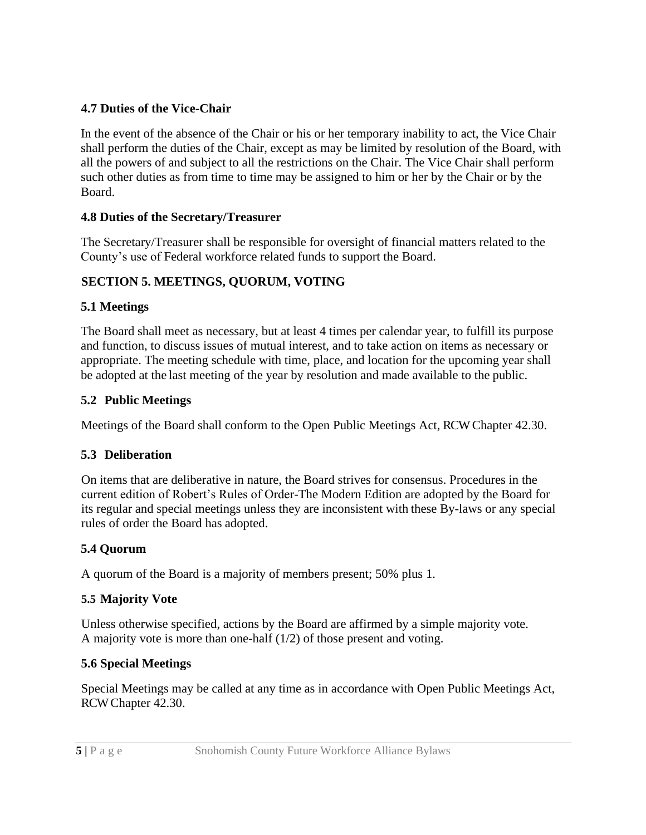#### **4.7 Duties of the Vice-Chair**

In the event of the absence of the Chair or his or her temporary inability to act, the Vice Chair shall perform the duties of the Chair, except as may be limited by resolution of the Board, with all the powers of and subject to all the restrictions on the Chair. The Vice Chair shall perform such other duties as from time to time may be assigned to him or her by the Chair or by the Board.

## **4.8 Duties of the Secretary/Treasurer**

The Secretary/Treasurer shall be responsible for oversight of financial matters related to the County's use of Federal workforce related funds to support the Board.

## **SECTION 5. MEETINGS, QUORUM, VOTING**

#### **5.1 Meetings**

The Board shall meet as necessary, but at least 4 times per calendar year, to fulfill its purpose and function, to discuss issues of mutual interest, and to take action on items as necessary or appropriate. The meeting schedule with time, place, and location for the upcoming year shall be adopted at the last meeting of the year by resolution and made available to the public.

#### **5.2 Public Meetings**

Meetings of the Board shall conform to the Open Public Meetings Act, RCW Chapter 42.30.

## **5.3 Deliberation**

On items that are deliberative in nature, the Board strives for consensus. Procedures in the current edition of Robert's Rules of Order-The Modern Edition are adopted by the Board for its regular and special meetings unless they are inconsistent with these By-laws or any special rules of order the Board has adopted.

## **5.4 Quorum**

A quorum of the Board is a majority of members present; 50% plus 1.

#### **5.5 Majority Vote**

Unless otherwise specified, actions by the Board are affirmed by a simple majority vote. A majority vote is more than one-half (1/2) of those present and voting.

## **5.6 Special Meetings**

Special Meetings may be called at any time as in accordance with Open Public Meetings Act, RCW Chapter 42.30.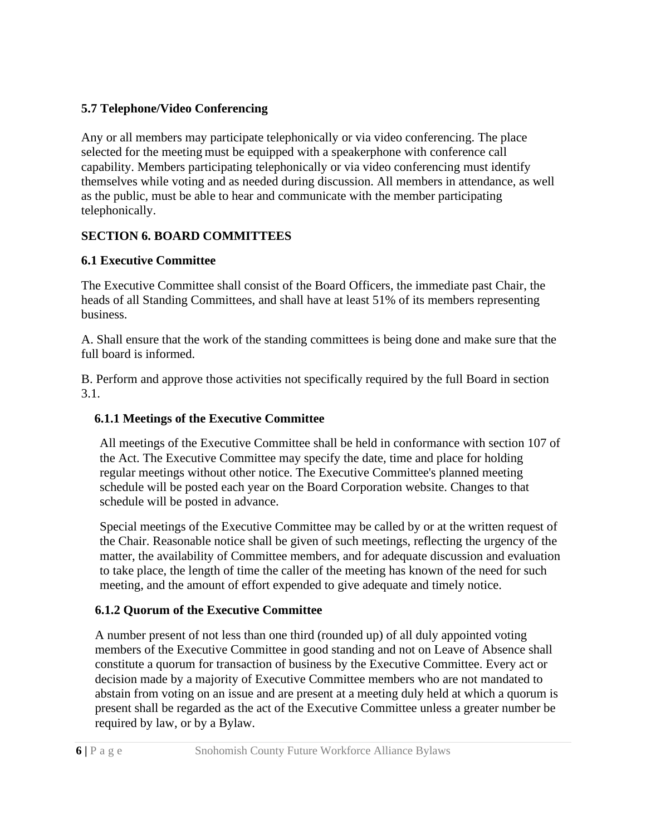#### **5.7 Telephone/Video Conferencing**

Any or all members may participate telephonically or via video conferencing. The place selected for the meeting must be equipped with a speakerphone with conference call capability. Members participating telephonically or via video conferencing must identify themselves while voting and as needed during discussion. All members in attendance, as well as the public, must be able to hear and communicate with the member participating telephonically.

## **SECTION 6. BOARD COMMITTEES**

## **6.1 Executive Committee**

The Executive Committee shall consist of the Board Officers, the immediate past Chair, the heads of all Standing Committees, and shall have at least 51% of its members representing business.

A. Shall ensure that the work of the standing committees is being done and make sure that the full board is informed.

B. Perform and approve those activities not specifically required by the full Board in section 3.1.

#### **6.1.1 Meetings of the Executive Committee**

All meetings of the Executive Committee shall be held in conformance with section 107 of the Act. The Executive Committee may specify the date, time and place for holding regular meetings without other notice. The Executive Committee's planned meeting schedule will be posted each year on the Board Corporation website. Changes to that schedule will be posted in advance.

Special meetings of the Executive Committee may be called by or at the written request of the Chair. Reasonable notice shall be given of such meetings, reflecting the urgency of the matter, the availability of Committee members, and for adequate discussion and evaluation to take place, the length of time the caller of the meeting has known of the need for such meeting, and the amount of effort expended to give adequate and timely notice.

## **6.1.2 Quorum of the Executive Committee**

A number present of not less than one third (rounded up) of all duly appointed voting members of the Executive Committee in good standing and not on Leave of Absence shall constitute a quorum for transaction of business by the Executive Committee. Every act or decision made by a majority of Executive Committee members who are not mandated to abstain from voting on an issue and are present at a meeting duly held at which a quorum is present shall be regarded as the act of the Executive Committee unless a greater number be required by law, or by a Bylaw.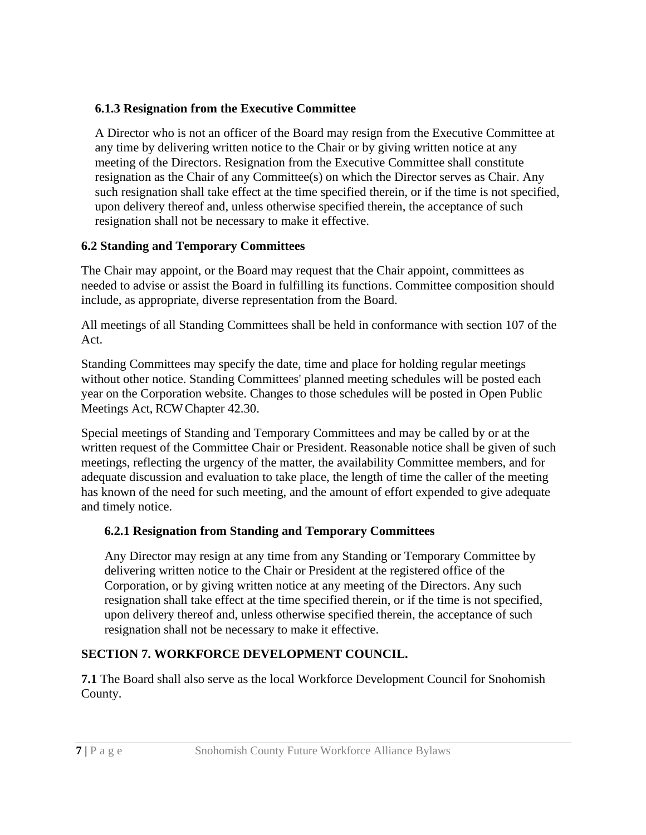#### **6.1.3 Resignation from the Executive Committee**

A Director who is not an officer of the Board may resign from the Executive Committee at any time by delivering written notice to the Chair or by giving written notice at any meeting of the Directors. Resignation from the Executive Committee shall constitute resignation as the Chair of any Committee(s) on which the Director serves as Chair. Any such resignation shall take effect at the time specified therein, or if the time is not specified, upon delivery thereof and, unless otherwise specified therein, the acceptance of such resignation shall not be necessary to make it effective.

## **6.2 Standing and Temporary Committees**

The Chair may appoint, or the Board may request that the Chair appoint, committees as needed to advise or assist the Board in fulfilling its functions. Committee composition should include, as appropriate, diverse representation from the Board.

All meetings of all Standing Committees shall be held in conformance with section 107 of the Act.

Standing Committees may specify the date, time and place for holding regular meetings without other notice. Standing Committees' planned meeting schedules will be posted each year on the Corporation website. Changes to those schedules will be posted in Open Public Meetings Act, RCW Chapter 42.30.

Special meetings of Standing and Temporary Committees and may be called by or at the written request of the Committee Chair or President. Reasonable notice shall be given of such meetings, reflecting the urgency of the matter, the availability Committee members, and for adequate discussion and evaluation to take place, the length of time the caller of the meeting has known of the need for such meeting, and the amount of effort expended to give adequate and timely notice.

# **6.2.1 Resignation from Standing and Temporary Committees**

Any Director may resign at any time from any Standing or Temporary Committee by delivering written notice to the Chair or President at the registered office of the Corporation, or by giving written notice at any meeting of the Directors. Any such resignation shall take effect at the time specified therein, or if the time is not specified, upon delivery thereof and, unless otherwise specified therein, the acceptance of such resignation shall not be necessary to make it effective.

# **SECTION 7. WORKFORCE DEVELOPMENT COUNCIL.**

**7.1** The Board shall also serve as the local Workforce Development Council for Snohomish County.